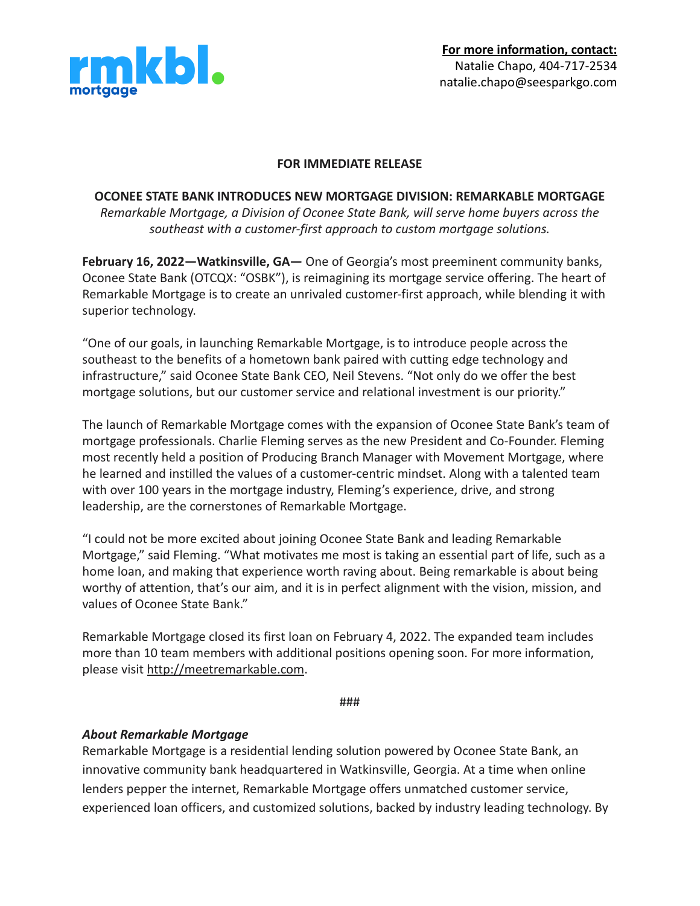

## **FOR IMMEDIATE RELEASE**

## **OCONEE STATE BANK INTRODUCES NEW MORTGAGE DIVISION: REMARKABLE MORTGAGE** *Remarkable Mortgage, a Division of Oconee State Bank, will serve home buyers across the*

*southeast with a customer-first approach to custom mortgage solutions.*

**February 16, 2022—Watkinsville, GA—** One of Georgia's most preeminent community banks, Oconee State Bank (OTCQX: "OSBK"), is reimagining its mortgage service offering. The heart of Remarkable Mortgage is to create an unrivaled customer-first approach, while blending it with superior technology.

"One of our goals, in launching Remarkable Mortgage, is to introduce people across the southeast to the benefits of a hometown bank paired with cutting edge technology and infrastructure," said Oconee State Bank CEO, Neil Stevens. "Not only do we offer the best mortgage solutions, but our customer service and relational investment is our priority."

The launch of Remarkable Mortgage comes with the expansion of Oconee State Bank's team of mortgage professionals. Charlie Fleming serves as the new President and Co-Founder. Fleming most recently held a position of Producing Branch Manager with Movement Mortgage, where he learned and instilled the values of a customer-centric mindset. Along with a talented team with over 100 years in the mortgage industry, Fleming's experience, drive, and strong leadership, are the cornerstones of Remarkable Mortgage.

"I could not be more excited about joining Oconee State Bank and leading Remarkable Mortgage," said Fleming. "What motivates me most is taking an essential part of life, such as a home loan, and making that experience worth raving about. Being remarkable is about being worthy of attention, that's our aim, and it is in perfect alignment with the vision, mission, and values of Oconee State Bank."

Remarkable Mortgage closed its first loan on February 4, 2022. The expanded team includes more than 10 team members with additional positions opening soon. For more information, please visit <http://meetremarkable.com>.

###

## *About Remarkable Mortgage*

Remarkable Mortgage is a residential lending solution powered by Oconee State Bank, an innovative community bank headquartered in Watkinsville, Georgia. At a time when online lenders pepper the internet, Remarkable Mortgage offers unmatched customer service, experienced loan officers, and customized solutions, backed by industry leading technology. By